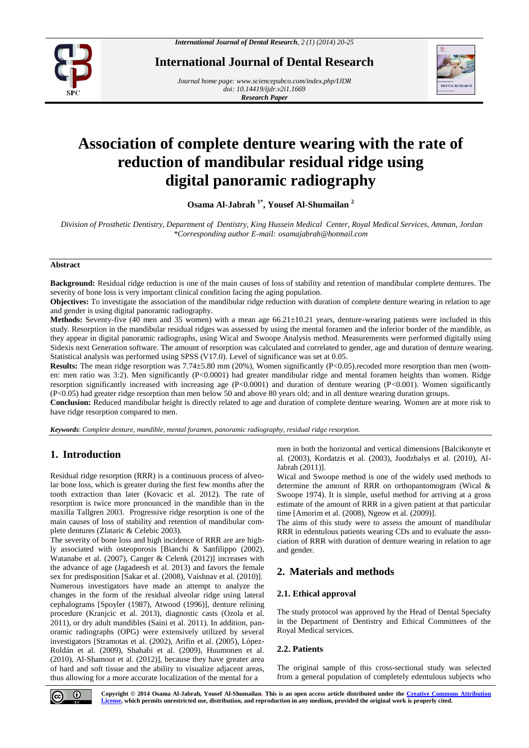

**International Journal of Dental Research**

*Journal home page[: www.sciencepubco.com/index.php/IJDR](http://www.sciencepubco.com/index.php/IJDR) doi: 10.14419/ijdr.v2i1.1669 Research Paper*



# **Association of complete denture wearing with the rate of reduction of mandibular residual ridge using digital panoramic radiography**

**Osama Al-Jabrah 1\*, Yousef Al-Shumailan <sup>2</sup>**

*Division of Prosthetic Dentistry, Department of Dentistry, King Hussein Medical Center, Royal Medical Services, Amman, Jordan \*Corresponding author E-mail: osamajabrah@hotmail.com*

### **Abstract**

**Background:** Residual ridge reduction is one of the main causes of loss of stability and retention of mandibular complete dentures. The severity of bone loss is very important clinical condition facing the aging population.

**Objectives:** To investigate the association of the mandibular ridge reduction with duration of complete denture wearing in relation to age and gender is using digital panoramic radiography.

**Methods:** Seventy-five (40 men and 35 women) with a mean age 66.21±10.21 years, denture-wearing patients were included in this study. Resorption in the mandibular residual ridges was assessed by using the mental foramen and the inferior border of the mandible, as they appear in digital panoramic radiographs, using Wical and Swoope Analysis method. Measurements were performed digitally using Sidexis next Generation software. The amount of resorption was calculated and correlated to gender, age and duration of denture wearing. Statistical analysis was performed using SPSS (V17.0). Level of significance was set at 0.05.

**Results:** The mean ridge resorption was 7.74 $\pm$ 5.80 mm (20%), Women significantly (P<0.05).recoded more resorption than men (women: men ratio was 3:2). Men significantly (P<0.0001) had greater mandibular ridge and mental foramen heights than women. Ridge resorption significantly increased with increasing age (P<0.0001) and duration of denture wearing (P<0.001). Women significantly (P<0.05) had greater ridge resorption than men below 50 and above 80 years old; and in all denture wearing duration groups.

**Conclusion:** Reduced mandibular height is directly related to age and duration of complete denture wearing. Women are at more risk to have ridge resorption compared to men.

*Keywords*: *Complete denture, mandible, mental foramen, panoramic radiography, residual ridge resorption.*

# **1. Introduction**

Residual ridge resorption (RRR) is a continuous process of alveolar bone loss, which is greater during the first few months after the tooth extraction than later (Kovacic et al. 2012). The rate of resorption is twice more pronounced in the mandible than in the maxilla Tallgren 2003. Progressive ridge resorption is one of the main causes of loss of stability and retention of mandibular complete dentures (Zlataric & Celebic 2003).

The severity of bone loss and high incidence of RRR are are highly associated with osteoporosis [Bianchi & Sanfilippo (2002), Watanabe et al. (2007), Canger & Celenk (2012)] increases with the advance of age (Jagadeesh et al. 2013) and favors the female sex for predisposition [Sakar et al. (2008), Vaishnav et al. (2010)]. Numerous investigators have made an attempt to analyze the changes in the form of the residual alveolar ridge using lateral cephalograms [Spoyler (1987), Atwood (1996)], denture relining procedure (Kranjcic et al. 2013), diagnostic casts (Ozola et al. 2011), or dry adult mandibles (Saini et al. 2011). In addition, panoramic radiographs (OPG) were extensively utilized by several investigators [Stramotas et al. (2002), Arifin et al. (2005), López-Roldán et al. (2009), Shahabi et al. (2009), Huumonen et al. (2010), Al-Shamout et al. (2012)], because they have greater area of hard and soft tissue and the ability to visualize adjacent areas, thus allowing for a more accurate localization of the mental for a

men in both the horizontal and vertical dimensions [Balcikonyte et al. (2003), Kordatzis et al. (2003), Juodzbalys et al. (2010), Al-Jabrah (2011)].

Wical and Swoope method is one of the widely used methods to determine the amount of RRR on orthopantomogram (Wical & Swoope 1974). It is simple, useful method for arriving at a gross estimate of the amount of RRR in a given patient at that particular time [Amorim et al. (2008), Ngeow et al. (2009)].

The aims of this study were to assess the amount of mandibular RRR in edentulous patients wearing CDs and to evaluate the association of RRR with duration of denture wearing in relation to age and gender.

# **2. Materials and methods**

## **2.1. Ethical approval**

The study protocol was approved by the Head of Dental Specialty in the Department of Dentistry and Ethical Committees of the Royal Medical services.

# **2.2. Patients**

The original sample of this cross-sectional study was selected from a general population of completely edentulous subjects who



**Copyright © 2014 Osama Al-Jabrah, Yousef Al-Shumailan. This is an open access article distributed under the Creative Commons Attribution License, which permits unrestricted use, distribution, and reproduction in any medium, provided the original work is properly cited.**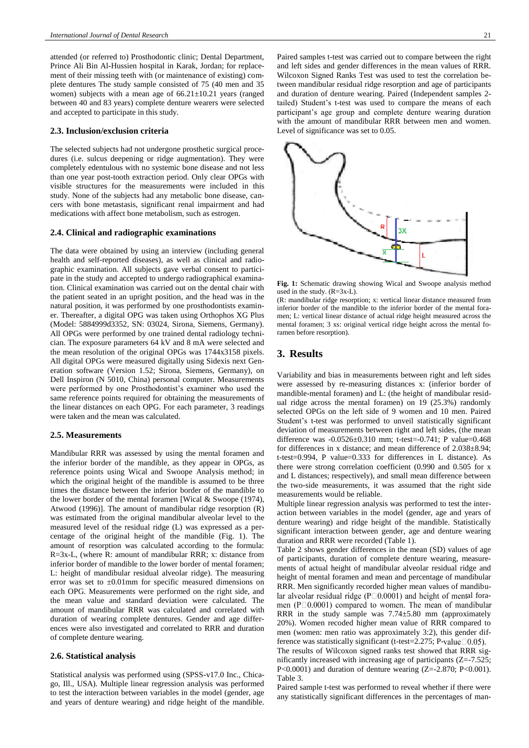attended (or referred to) Prosthodontic clinic; Dental Department, Prince Ali Bin Al-Hussien hospital in Karak, Jordan; for replacement of their missing teeth with (or maintenance of existing) complete dentures The study sample consisted of 75 (40 men and 35 women) subjects with a mean age of  $66.21 \pm 10.21$  years (ranged between 40 and 83 years) complete denture wearers were selected and accepted to participate in this study.

#### **2.3. Inclusion/exclusion criteria**

The selected subjects had not undergone prosthetic surgical procedures (i.e. sulcus deepening or ridge augmentation). They were completely edentulous with no systemic bone disease and not less than one year post-tooth extraction period. Only clear OPGs with visible structures for the measurements were included in this study. None of the subjects had any metabolic bone disease, cancers with bone metastasis, significant renal impairment and had medications with affect bone metabolism, such as estrogen.

## **2.4. Clinical and radiographic examinations**

The data were obtained by using an interview (including general health and self-reported diseases), as well as clinical and radiographic examination. All subjects gave verbal consent to participate in the study and accepted to undergo radiographical examination. Clinical examination was carried out on the dental chair with the patient seated in an upright position, and the head was in the natural position, it was performed by one prosthodontists examiner. Thereafter, a digital OPG was taken using Orthophos XG Plus (Model: 5884999d3352, SN: 03024, Sirona, Siemens, Germany). All OPGs were performed by one trained dental radiology technician. The exposure parameters 64 kV and 8 mA were selected and the mean resolution of the original OPGs was 1744x3158 pixels. All digital OPGs were measured digitally using Sidexis next Generation software (Version 1.52; Sirona, Siemens, Germany), on Dell Inspiron (N 5010, China) personal computer. Measurements were performed by one Prosthodontist's examiner who used the same reference points required for obtaining the measurements of the linear distances on each OPG. For each parameter, 3 readings were taken and the mean was calculated.

#### **2.5. Measurements**

Mandibular RRR was assessed by using the mental foramen and the inferior border of the mandible, as they appear in OPGs, as reference points using Wical and Swoope Analysis method; in which the original height of the mandible is assumed to be three times the distance between the inferior border of the mandible to the lower border of the mental foramen [Wical & Swoope (1974), Atwood (1996)]. The amount of mandibular ridge resorption (R) was estimated from the original mandibular alveolar level to the measured level of the residual ridge (L) was expressed as a percentage of the original height of the mandible (Fig. 1). The amount of resorption was calculated according to the formula: R=3x-L, (where R: amount of mandibular RRR; x: distance from inferior border of mandible to the lower border of mental foramen; L: height of mandibular residual alveolar ridge). The measuring error was set to  $\pm 0.01$ mm for specific measured dimensions on each OPG. Measurements were performed on the right side, and the mean value and standard deviation were calculated. The amount of mandibular RRR was calculated and correlated with duration of wearing complete dentures. Gender and age differences were also investigated and correlated to RRR and duration of complete denture wearing.

## **2.6. Statistical analysis**

Statistical analysis was performed using (SPSS-v17.0 Inc., Chicago, Ill., USA). Multiple linear regression analysis was performed to test the interaction between variables in the model (gender, age and years of denture wearing) and ridge height of the mandible. Paired samples t-test was carried out to compare between the right and left sides and gender differences in the mean values of RRR. Wilcoxon Signed Ranks Test was used to test the correlation between mandibular residual ridge resorption and age of participants and duration of denture wearing. Paired (Independent samples 2 tailed) Student's t-test was used to compare the means of each participant's age group and complete denture wearing duration with the amount of mandibular RRR between men and women. Level of significance was set to 0.05.



**Fig. 1:** Schematic drawing showing Wical and Swoope analysis method used in the study. (R=3x-L).

(R: mandibular ridge resorption; x: vertical linear distance measured from inferior border of the mandible to the inferior border of the mental foramen; L: vertical linear distance of actual ridge height measured across the mental foramen; 3 xs: original vertical ridge height across the mental foramen before resorption).

# **3. Results**

Variability and bias in measurements between right and left sides were assessed by re-measuring distances x: (inferior border of mandible-mental foramen) and L: (the height of mandibular residual ridge across the mental foramen) on 19 (25.3%) randomly selected OPGs on the left side of 9 women and 10 men. Paired Student's t-test was performed to unveil statistically significant deviation of measurements between right and left sides, (the mean difference was -0.0526±0.310 mm; t-test=-0.741; P value=0.468 for differences in x distance; and mean difference of 2.038±8.94; t-test=0.994, P value=0.333 for differences in L distance). As there were strong correlation coefficient (0.990 and 0.505 for x and L distances; respectively), and small mean difference between the two-side measurements, it was assumed that the right side measurements would be reliable.

Multiple linear regression analysis was performed to test the interaction between variables in the model (gender, age and years of denture wearing) and ridge height of the mandible. Statistically significant interaction between gender, age and denture wearing duration and RRR were recorded (Table 1).

Table 2 shows gender differences in the mean (SD) values of age of participants, duration of complete denture wearing, measurements of actual height of mandibular alveolar residual ridge and height of mental foramen and mean and percentage of mandibular RRR. Men significantly recorded higher mean values of mandibular alveolar residual ridge ( $P \Box 0.0001$ ) and height of mental foramen ( $P \Box 0.0001$ ) compared to women. The mean of mandibular RRR in the study sample was 7.74±5.80 mm (approximately 20%). Women recoded higher mean value of RRR compared to men (women: men ratio was approximately 3:2), this gender difference was statistically significant (t-test=2.275; P-value $\Box 0.05$ ).

The results of Wilcoxon signed ranks test showed that RRR significantly increased with increasing age of participants (Z=-7.525; P<0.0001) and duration of denture wearing (Z=-2.870; P<0.001). Table 3.

Paired sample t-test was performed to reveal whether if there were any statistically significant differences in the percentages of man-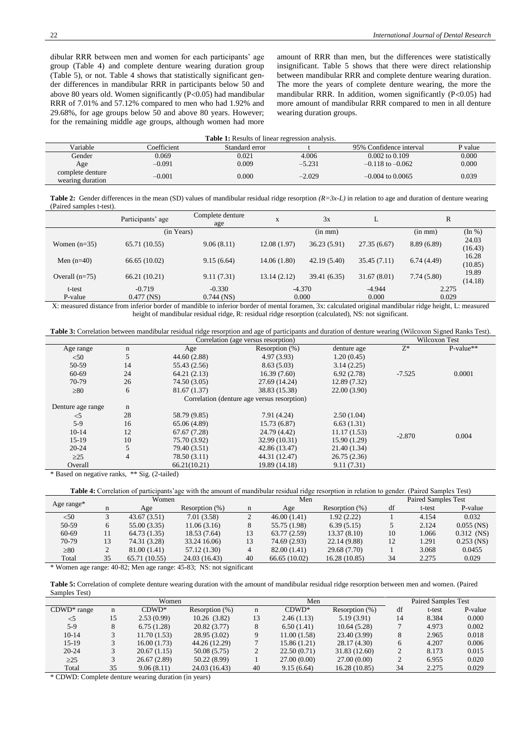dibular RRR between men and women for each participants' age group (Table 4) and complete denture wearing duration group (Table 5), or not. Table 4 shows that statistically significant gender differences in mandibular RRR in participants below 50 and above 80 years old. Women significantly  $(P<0.05)$  had mandibular RRR of 7.01% and 57.12% compared to men who had 1.92% and 29.68%, for age groups below 50 and above 80 years. However; for the remaining middle age groups, although women had more amount of RRR than men, but the differences were statistically insignificant. Table 5 shows that there were direct relationship between mandibular RRR and complete denture wearing duration. The more the years of complete denture wearing, the more the mandibular RRR. In addition, women significantly  $(P<0.05)$  had more amount of mandibular RRR compared to men in all denture wearing duration groups.

| <b>Table 1:</b> Results of linear regression analysis. |             |                |          |                         |         |  |  |  |  |
|--------------------------------------------------------|-------------|----------------|----------|-------------------------|---------|--|--|--|--|
| Variable                                               | Coefficient | Standard error |          | 95% Confidence interval | P value |  |  |  |  |
| Gender                                                 | 0.069       | 0.021          | 4.006    | $0.002$ to $0.109$      | 0.000   |  |  |  |  |
| Age                                                    | $-0.091$    | 0.009          | $-5.231$ | $-0.118$ to $-0.062$    | 0.000   |  |  |  |  |
| complete denture<br>wearing duration                   | $-0.001$    | 0.000          | $-2.029$ | $-0.004$ to 0.0065      | 0.039   |  |  |  |  |

**Table 2:** Gender differences in the mean (SD) values of mandibular residual ridge resorption *(R=3x-L)* in relation to age and duration of denture wearing (Paired samples t-test).

|                  | Participants' age | Complete denture<br>age | X           | 3x           | ⊥           | R            |                  |
|------------------|-------------------|-------------------------|-------------|--------------|-------------|--------------|------------------|
|                  | (in Years)        |                         |             | $(in \, mm)$ |             | $(in \, mm)$ | (In %)           |
| Women $(n=35)$   | 65.71 (10.55)     | 9.06(8.11)              | 12.08(1.97) | 36.23(5.91)  | 27.35(6.67) | 8.89(6.89)   | 24.03<br>(16.43) |
| Men $(n=40)$     | 66.65 (10.02)     | 9.15(6.64)              | 14.06(1.80) | 42.19 (5.40) | 35.45(7.11) | 6.74(4.49)   | 16.28<br>(10.85) |
| Overall $(n=75)$ | 66.21(10.21)      | 9.11(7.31)              | 13.14(2.12) | 39.41 (6.35) | 31.67(8.01) | 7.74(5.80)   | 19.89<br>(14.18) |
| t-test           | $-0.719$          | $-0.330$                |             | $-4.370$     | $-4.944$    | 2.275        |                  |
| P-value          | $0.477$ (NS)      | $0.744$ (NS)            | 0.000       |              | 0.000       | 0.029        |                  |

X: measured distance from inferior border of mandible to inferior border of mental foramen, 3x: calculated original mandibular ridge height, L: measured height of mandibular residual ridge, R: residual ridge resorption (calculated), NS: not significant.

| Table<br>mandıbular residual<br>ridge.<br>alation.<br>.orre'<br>hetween | : resorntion | age<br>and | narticipants | denture wearing<br>; and duration of | Wilcoxon, | Ranks<br>l'est).<br>S <sub>1</sub> gned |
|-------------------------------------------------------------------------|--------------|------------|--------------|--------------------------------------|-----------|-----------------------------------------|
|                                                                         |              |            |              |                                      |           |                                         |

|                   | Wilcoxon Test  |              |                                             |              |          |             |
|-------------------|----------------|--------------|---------------------------------------------|--------------|----------|-------------|
| Age range         | n              | Age          | Resorption $(\%)$                           | denture age  | $Z^*$    | $P-value**$ |
| < 50              | 5              | 44.60 (2.88) | 4.97(3.93)                                  | 1.20(0.45)   |          |             |
| 50-59             | 14             | 55.43 (2.56) | 8.63(5.03)                                  | 3.14(2.25)   |          |             |
| 60-69             | 24             | 64.21(2.13)  | 16.39(7.60)                                 | 6.92(2.78)   | $-7.525$ | 0.0001      |
| 70-79             | 26             | 74.50 (3.05) | 27.69 (14.24)                               | 12.89 (7.32) |          |             |
| $\geq 80$         | 6              | 81.67 (1.37) | 38.83 (15.38)                               | 22.00(3.90)  |          |             |
|                   |                |              | Correlation (denture age versus resorption) |              |          |             |
| Denture age range | n              |              |                                             |              |          |             |
| $<$ 5             | 28             | 58.79 (9.85) | 7.91 (4.24)                                 | 2.50(1.04)   |          |             |
| $5-9$             | 16             | 65.06 (4.89) | 15.73(6.87)                                 | 6.63(1.31)   |          |             |
| $10-14$           | 12             | 67.67(7.28)  | 24.79 (4.42)                                | 11.17(1.53)  | $-2.870$ | 0.004       |
| $15-19$           | 10             | 75.70 (3.92) | 32.99 (10.31)                               | 15.90 (1.29) |          |             |
| $20 - 24$         |                | 79.40 (3.51) | 42.86 (13.47)                               | 21.40 (1.34) |          |             |
| $\geq$ 25         | $\overline{4}$ | 78.50 (3.11) | 44.31 (12.47)                               | 26.75(2.36)  |          |             |
| Overall           |                | 66.21(10.21) | 19.89 (14.18)                               | 9.11(7.31)   |          |             |

\* Based on negative ranks, \*\* Sig. (2-tailed)

**Table 4:** Correlation of participants'age with the amount of mandibular residual ridge resorption in relation to gender. (Paired Samples Test)

|            |    | Women         |                                                        |    | Men            |                   |    | Paired Samples Test |              |  |
|------------|----|---------------|--------------------------------------------------------|----|----------------|-------------------|----|---------------------|--------------|--|
| Age range* | n  | Age           | Resorption $(\%)$                                      | n  | Age            | Resorption $(\%)$ | df | t-test              | P-value      |  |
| < 50       |    | 43.67(3.51)   | 7.01(3.58)                                             |    | 46.00(1.41)    | 1.92(2.22)        |    | 4.154               | 0.032        |  |
| 50-59      | 6  | 55.00 (3.35)  | 11.06(3.16)                                            | 8  | 55.75 (1.98)   | 6.39(5.15)        |    | 2.124               | $0.055$ (NS) |  |
| 60-69      | 11 | 64.73 (1.35)  | 18.53 (7.64)                                           | 13 | 63.77(2.59)    | 13.37(8.10)       | 10 | 1.066               | $0.312$ (NS) |  |
| 70-79      | 13 | 74.31 (3.28)  | 33.24 16.06)                                           | 13 | 74.69 (2.93)   | 22.14 (9.88)      | 12 | 1.291               | $0.253$ (NS) |  |
| $\geq 80$  |    | 81.00 (1.41)  | 57.12 (1.30)                                           | 4  | 82.00 $(1.41)$ | 29.68 (7.70)      |    | 3.068               | 0.0455       |  |
| Total      | 35 | 65.71 (10.55) | 24.03 (16.43)                                          | 40 | 66.65(10.02)   | 16.28(10.85)      | 34 | 2.275               | 0.029        |  |
|            |    |               | $\pm W_1$ , , , , , 40.00, M, , , , 45.00, MO, , , , , |    |                |                   |    |                     |              |  |

Women age range: 40-82; Men age range: 45-83; NS: not significant

**Table 5:** Correlation of complete denture wearing duration with the amount of mandibular residual ridge resorption between men and women. (Paired Samples Test)

| Women          |             |             |                   | Men |              | <b>Paired Samples Test</b> |    |        |         |
|----------------|-------------|-------------|-------------------|-----|--------------|----------------------------|----|--------|---------|
| $CDWD^*$ range | $\mathbf n$ | $CDWD^*$    | Resorption $(\%)$ | n   | $CDWD^*$     | Resorption $(\%)$          | df | t-test | P-value |
| $<$ 5          | 15          | 2.53(0.99)  | 10.26(3.82)       | 13  | 2.46(1.13)   | 5.19(3.91)                 | 14 | 8.384  | 0.000   |
| $5-9$          |             | 6.75(1.28)  | 20.82(3.77)       |     | 6.50(1.41)   | 10.64(5.28)                |    | 4.973  | 0.002   |
| $10-14$        |             | 11.70(1.53) | 28.95(3.02)       |     | 11.00(1.58)  | 23.40 (3.99)               |    | 2.965  | 0.018   |
| $15-19$        |             | 16.00(1.73) | 44.26 (12.29)     |     | 15.86 (1.21) | 28.17 (4.30)               |    | 4.207  | 0.006   |
| $20 - 24$      |             | 20.67(1.15) | 50.08 (5.75)      |     | 22.50(0.71)  | 31.83 (12.60)              |    | 8.173  | 0.015   |
| >25            |             | 26.67(2.89) | 50.22 (8.99)      |     | 27.00(0.00)  | 27.00 (0.00)               |    | 6.955  | 0.020   |
| Total          | 35          | 9.06(8.11)  | 24.03 (16.43)     | 40  | 9.15(6.64)   | 16.28(10.85)               | 34 | 2.275  | 0.029   |

\* CDWD: Complete denture wearing duration (in years)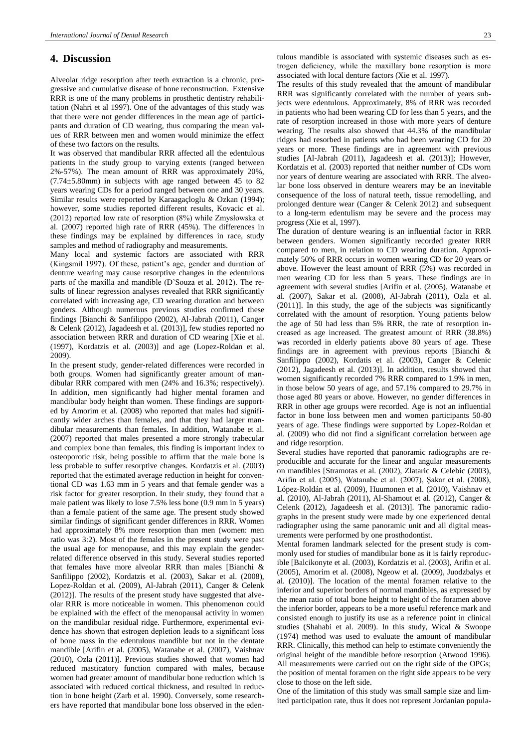# **4. Discussion**

Alveolar ridge resorption after teeth extraction is a chronic, progressive and cumulative disease of bone reconstruction. Extensive RRR is one of the many problems in prosthetic dentistry rehabilitation (Nahri et al 1997). One of the advantages of this study was that there were not gender differences in the mean age of participants and duration of CD wearing, thus comparing the mean values of RRR between men and women would minimize the effect of these two factors on the results.

It was observed that mandibular RRR affected all the edentulous patients in the study group to varying extents (ranged between 2%-57%). The mean amount of RRR was approximately 20%, (7.74±5.80mm) in subjects with age ranged between 45 to 82 years wearing CDs for a period ranged between one and 30 years. Similar results were reported by Karaagaçloglu & Ozkan (1994); however, some studies reported different results, Kovacic et al. (2012) reported low rate of resorption (8%) while Zmysłowska et al. (2007) reported high rate of RRR (45%). The differences in these findings may be explained by differences in race, study samples and method of radiography and measurements.

Many local and systemic factors are associated with RRR (Kingsmil 1997). Of these, patient's age, gender and duration of denture wearing may cause resorptive changes in the edentulous parts of the maxilla and mandible (D'Souza et al. 2012). The results of linear regression analyses revealed that RRR significantly correlated with increasing age, CD wearing duration and between genders. Although numerous previous studies confirmed these findings [Bianchi & Sanfilippo (2002), Al-Jabrah (2011), Canger & Celenk (2012), Jagadeesh et al. (2013)], few studies reported no association between RRR and duration of CD wearing [Xie et al. (1997), Kordatzis et al. (2003)] and age (Lopez-Roldan et al. 2009).

In the present study, gender-related differences were recorded in both groups. Women had significantly greater amount of mandibular RRR compared with men (24% and 16.3%; respectively). In addition, men significantly had higher mental foramen and mandibular body height than women. These findings are supported by Amorim et al. (2008) who reported that males had significantly wider arches than females, and that they had larger mandibular measurements than females. In addition, Watanabe et al. (2007) reported that males presented a more strongly trabecular and complex bone than females, this finding is important index to osteoporotic risk, being possible to affirm that the male bone is less probable to suffer resorptive changes. Kordatzis et al. (2003) reported that the estimated average reduction in height for conventional CD was 1.63 mm in 5 years and that female gender was a risk factor for greater resorption. In their study, they found that a male patient was likely to lose 7.5% less bone (0.9 mm in 5 years) than a female patient of the same age. The present study showed similar findings of significant gender differences in RRR. Women had approximately 8% more resorption than men (women: men ratio was 3:2). Most of the females in the present study were past the usual age for menopause, and this may explain the genderrelated difference observed in this study. Several studies reported that females have more alveolar RRR than males [Bianchi & Sanfilippo (2002), Kordatzis et al. (2003), Sakar et al. (2008), Lopez-Roldan et al. (2009), Al-Jabrah (2011), Canger & Celenk (2012)]. The results of the present study have suggested that alveolar RRR is more noticeable in women. This phenomenon could be explained with the effect of the menopausal activity in women on the mandibular residual ridge. Furthermore, experimental evidence has shown that estrogen depletion leads to a significant loss of bone mass in the edentulous mandible but not in the dentate mandible [Arifin et al. (2005), Watanabe et al. (2007), Vaishnav (2010), Ozla (2011)]. Previous studies showed that women had reduced masticatory function compared with males, because women had greater amount of mandibular bone reduction which is associated with reduced cortical thickness, and resulted in reduction in bone height (Zarb et al. 1990). Conversely, some researchers have reported that mandibular bone loss observed in the edentulous mandible is associated with systemic diseases such as estrogen deficiency, while the maxillary bone resorption is more associated with local denture factors (Xie et al. 1997).

The results of this study revealed that the amount of mandibular RRR was significantly correlated with the number of years subjects were edentulous. Approximately, 8% of RRR was recorded in patients who had been wearing CD for less than 5 years, and the rate of resorption increased in those with more years of denture wearing. The results also showed that 44.3% of the mandibular ridges had resorbed in patients who had been wearing CD for 20 years or more. These findings are in agreement with previous studies [Al-Jabrah (2011), Jagadeesh et al. (2013)]; However, Kordatzis et al. (2003) reported that neither number of CDs worn nor years of denture wearing are associated with RRR. The alveolar bone loss observed in denture wearers may be an inevitable consequence of the loss of natural teeth, tissue remodelling, and prolonged denture wear (Canger & Celenk 2012) and subsequent to a long-term edentulism may be severe and the process may progress (Xie et al, 1997).

The duration of denture wearing is an influential factor in RRR between genders. Women significantly recorded greater RRR compared to men, in relation to CD wearing duration. Approximately 50% of RRR occurs in women wearing CD for 20 years or above. However the least amount of RRR (5%) was recorded in men wearing CD for less than 5 years. These findings are in agreement with several studies [Arifin et al. (2005), Watanabe et al. (2007), Sakar et al. (2008), Al-Jabrah (2011), Ozla et al. (2011)]. In this study, the age of the subjects was significantly correlated with the amount of resorption. Young patients below the age of 50 had less than 5% RRR, the rate of resorption increased as age increased. The greatest amount of RRR (38.8%) was recorded in elderly patients above 80 years of age. These findings are in agreement with previous reports [Bianchi & Sanfilippo (2002), Kordatis et al. (2003), Canger & Celenic (2012), Jagadeesh et al. (2013)]. In addition, results showed that women significantly recorded 7% RRR compared to 1.9% in men, in those below 50 years of age, and 57.1% compared to 29.7% in those aged 80 years or above. However, no gender differences in RRR in other age groups were recorded. Age is not an influential factor in bone loss between men and women participants 50-80 years of age. These findings were supported by Lopez-Roldan et al. (2009) who did not find a significant correlation between age and ridge resorption.

Several studies have reported that panoramic radiographs are reproducible and accurate for the linear and angular measurements on mandibles [Stramotas et al. (2002), Zlataric & Celebic (2003), Arifin et al. (2005), Watanabe et al. (2007), Şakar et al. (2008), López-Roldán et al. (2009), Huumonen et al. (2010), Vaishnav et al. (2010), Al-Jabrah (2011), Al-Shamout et al. (2012), Canger & Celenk (2012), Jagadeesh et al. (2013)]. The panoramic radiographs in the present study were made by one experienced dental radiographer using the same panoramic unit and all digital measurements were performed by one prosthodontist.

Mental foramen landmark selected for the present study is commonly used for studies of mandibular bone as it is fairly reproducible [Balcikonyte et al. (2003), Kordatzis et al. (2003), Arifin et al. (2005), Amorim et al. (2008), Ngeow et al. (2009), Juodzbalys et al. (2010)]. The location of the mental foramen relative to the inferior and superior borders of normal mandibles, as expressed by the mean ratio of total bone height to height of the foramen above the inferior border, appears to be a more useful reference mark and consisted enough to justify its use as a reference point in clinical studies (Shahabi et al. 2009). In this study, Wical & Swoope (1974) method was used to evaluate the amount of mandibular RRR. Clinically, this method can help to estimate conveniently the original height of the mandible before resorption (Atwood 1996). All measurements were carried out on the right side of the OPGs; the position of mental foramen on the right side appears to be very close to those on the left side.

One of the limitation of this study was small sample size and limited participation rate, thus it does not represent Jordanian popula-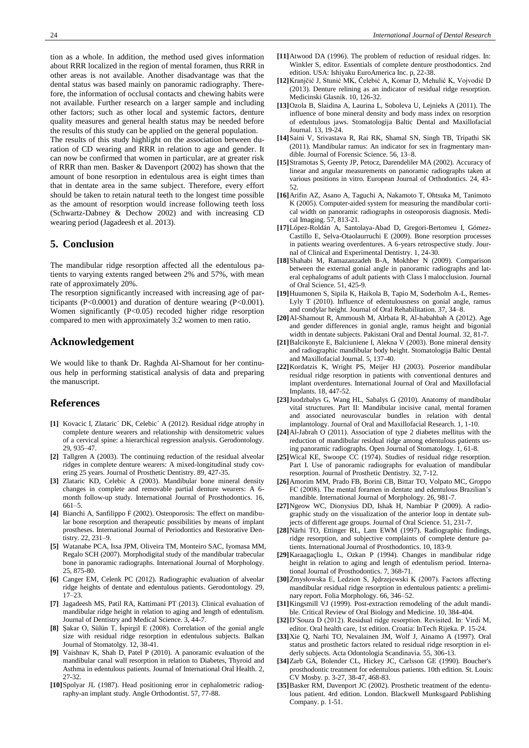tion as a whole. In addition, the method used gives information about RRR localized in the region of mental foramen, thus RRR in other areas is not available. Another disadvantage was that the dental status was based mainly on panoramic radiography. Therefore, the information of occlusal contacts and chewing habits were not available. Further research on a larger sample and including other factors; such as other local and systemic factors, denture quality measures and general health status may be needed before the results of this study can be applied on the general population.

The results of this study highlight on the association between duration of CD wearing and RRR in relation to age and gender. It can now be confirmed that women in particular, are at greater risk of RRR than men. Basker & Davenport (2002) has shown that the amount of bone resorption in edentulous area is eight times than that in dentate area in the same subject. Therefore, every effort should be taken to retain natural teeth to the longest time possible as the amount of resorption would increase following teeth loss (Schwartz-Dabney & Dechow 2002) and with increasing CD wearing period (Jagadeesh et al. 2013).

# **5. Conclusion**

The mandibular ridge resorption affected all the edentulous patients to varying extents ranged between 2% and 57%, with mean rate of approximately 20%.

The resorption significantly increased with increasing age of participants (P<0.0001) and duration of denture wearing (P<0.001). Women significantly (P<0.05) recoded higher ridge resorption compared to men with approximately 3:2 women to men ratio.

# **Acknowledgement**

We would like to thank Dr. Raghda Al-Shamout for her continuous help in performing statistical analysis of data and preparing the manuscript.

## **References**

- **[1]** Kovacic I, Zlataric´ DK, Celebic´ A (2012). Residual ridge atrophy in complete denture wearers and relationship with densitometric values of a cervical spine: a hierarchical regression analysis. Gerodontology. 29, 935–47.
- **[2]** Tallgren A (2003). The continuing reduction of the residual alveolar ridges in complete denture wearers: A mixed-longitudinal study covering 25 years. Journal of Prosthetic Dentistry. 89, 427-35.
- **[3]** Zlataric KD, Celebic A (2003). Mandibular bone mineral density changes in complete and removable partial denture wearers: A 6 month follow-up study. International Journal of Prosthodontics. 16, 661–5.
- **[4]** Bianchi A, Sanfilippo F (2002). Osteoporosis: The effect on mandibular bone resorption and therapeutic possibilities by means of implant prostheses. International Journal of Periodontics and Restorative Dentistry. 22, 231–9.
- **[5]** Watanabe PCA, Issa JPM, Oliveira TM, Monteiro SAC, Iyomasa MM, Regalo SCH (2007). Morphodigital study of the mandibular trabecular bone in panoramic radiographs. International Journal of Morphology. 25, 875-80.
- **[6]** Canger EM, Celenk PC (2012). Radiographic evaluation of alveolar ridge heights of dentate and edentulous patients. Gerodontology. 29, 17–23.
- **[7]** Jagadeesh MS, Patil RA, Kattimani PT (2013). Clinical evaluation of mandibular ridge height in relation to aging and length of edentulism. Journal of Dentistry and Medical Science. 3, 44-7.
- **[8]** Şakar O, Sülün T, İspirgil E (2008). Correlation of the gonial angle size with residual ridge resorption in edentulous subjects. Balkan Journal of Stomatolgy. 12, 38-41.
- **[9]** Vaishnav K, Shah D, Patel P (2010). A panoramic evaluation of the mandibular canal wall resorption in relation to Diabetes, Thyroid and Asthma in edentulous patients. Journal of International Oral Health. 2, 27-32.
- **[10]**Spolyar JL (1987). Head positioning error in cephalometric radiography-an implant study. Angle Orthodontist. 57, 77-88.
- **[11]**Atwood DA (1996). The problem of reduction of residual ridges. In: Winkler S, editor. Essentials of complete denture prosthodontics. 2nd edition. USA: Ishiyaku EuroAmerica Inc. p, 22-38.
- **[12]**Kranjčić J, Stunić MK, Čelebić A, Komar D, Mehulić K, Vojvodić D (2013). Denture relining as an indicator of residual ridge resorption. Medicinski Glasnik. 10, 126-32.
- **[13]**Ozola B, Slaidina A, Laurina L, Soboleva U, Lejnieks A (2011). The influence of bone mineral density and body mass index on resorption of edentulous jaws. Stomatologija Baltic Dental and Maxillofacial Journal. 13, 19-24.
- **[14]**Saini V, Srivastava R, Rai RK, Shamal SN, Singh TB, Tripathi SK (2011). Mandibular ramus: An indicator for sex in fragmentary mandible. Journal of Forensic Science. 56, 13–8.
- **[15]**Stramotas S, Geenty JP, Petocz, Darendeliler MA (2002). Accuracy of linear and angular measurements on panoramic radiographs taken at various positions in vitro. European Journal of Orthodontics. 24, 43- 52.
- **[16]**Arifin AZ, Asano A, Taguchi A, Nakamoto T, Ohtsuka M, Tanimoto K (2005). Computer-aided system for measuring the mandibular cortical width on panoramic radiographs in osteoporosis diagnosis. Medical Imaging. 57, 813-21.
- **[17]**López-Roldán A, Santolaya-Abad D, Gregori-Bertomeu I, Gómez-Castillo E, Selva-Otaolaurruchi E (2009). Bone resorption processes in patients wearing overdentures. A 6-years retrospective study. Journal of Clinical and Experimental Dentistry. 1, 24-30.
- **[18]**Shahabi M, Ramazanzadeh B-A, Mokhber N (2009). Comparison between the external gonial angle in panoramic radiographs and lateral cephalograms of adult patients with Class I malocclusion. Journal of Oral Science. 51, 425-9.
- **[19]**Huumonen S, Sipila K, Haikola B, Tapio M, Soderholm A-L, Remes-Lyly T (2010). Influence of edentulousness on gonial angle, ramus and condylar height. Journal of Oral Rehabilitation. 37, 34–8.
- **[20]**Al-Shamout R, Ammoush M, Alrbata R, Al-habahbah A (2012). Age and gender differences in gonial angle, ramus height and bigonial width in dentate subjects. Pakistani Oral and Dental Journal. 32, 81-7.
- **[21]**Balcikonyte E, Balciuniene I, Alekna V (2003). Bone mineral density and radiographic mandibular body height. Stomatologija Baltic Dental and Maxillofacial Journal. 5, 137-40.
- **[22]**Kordatzis K, Wright PS, Meijer HJ (2003). Posrerior mandibular residual ridge resorption in patients with conventional dentures and implant overdentures. International Journal of Oral and Maxillofacial Implants. 18, 447-52.
- **[23]**Juodzbalys G, Wang HL, Sabalys G (2010). Anatomy of mandibular vital structures. Part II: Mandibular incisive canal, mental foramen and associated neurovascular bundles in relation with dental implantology. Journal of Oral and Maxillofacial Research. 1, 1-10.
- **[24]**Al-Jabrah O (2011). Association of type 2 diabetes mellitus with the reduction of mandibular residual ridge among edentulous patients using panoramic radiographs. Open Journal of Stomatology. 1, 61-8.
- **[25]**Wical KE, Swoope CC (1974). Studies of residual ridge resorption. Part I. Use of panoramic radiographs for evaluation of mandibular resorption. Journal of Prosthetic Dentistry. 32, 7-12.
- **[26]**Amorim MM, Prado FB, Borini CB, Bittar TO, Volpato MC, Groppo FC (2008). The mental foramen in dentate and edentulous Brazilian's mandible. International Journal of Morphology. 26, 981-7.
- **[27]**Ngeow WC, Dionysius DD, Ishak H, Nambiar P (2009). A radiographic study on the visualization of the anterior loop in dentate subjects of different age groups. Journal of Oral Science. 51, 231-7.
- **[28]**Närhi TO, Ettinger RL, Lam EWM (1997). Radiographic findings, ridge resorption, and subjective complaints of complete denture patients. International Journal of Prosthodontics. 10, 183-9.
- **[29]**Karaagaçlioglu L, Ozkan P (1994). Changes in mandibular ridge height in relation to aging and length of edentulism period. International Journal of Prosthodontics. 7, 368-71.
- **[30]**Zmysłowska E, Ledzion S, Jędrzejewski K (2007). Factors affecting mandibular residual ridge resorption in edentulous patients: a preliminary report. Folia Morphology. 66, 346–52.
- **[31]**Kingsmill VJ (1999). Post-extraction remodeling of the adult mandible. Critical Review of Oral Biology and Medicine. 10, 384-404.
- **[32]**D'Souza D (2012). Residual ridge resorption. Revisited. In: Virdi M, editor. Oral health care, 1st edition. Croatia: InTech Rijeka. P. 15-24.
- **[33]**Xie Q, Narhi TO, Nevalainen JM, Wolf J, Ainamo A (1997). Oral status and prosthetic factors related to residual ridge resorption in elderly subjects. Acta Odontologia Scandinavia. 55, 306-13.
- **[34]**Zarb GA, Bolender CL, Hickey JC, Carlsson GE (1990). Boucher's prosthodontic treatment for edentulous patients. 10th edition. St. Louis: CV Mosby. p. 3-27, 38-47, 468-83.
- **[35]**Basker RM, Davenport JC (2002). Prosthetic treatment of the edentulous patient. 4rd edition. London. Blackwell Munksgaard Publishing Company. p. 1-51.